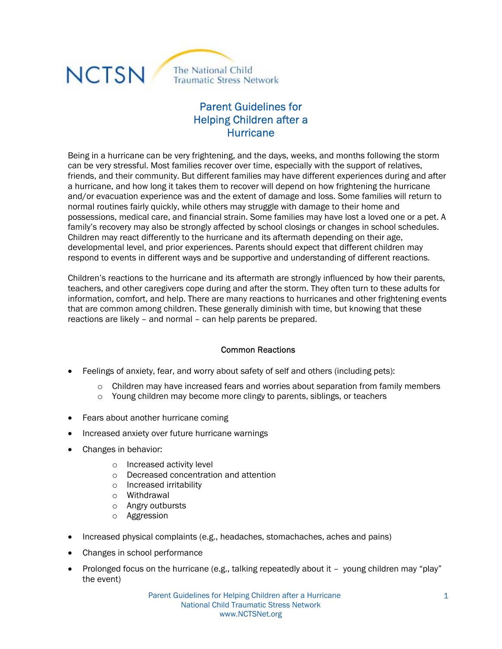

# Parent Guidelines for Helping Children after a **Hurricane**

Being in a hurricane can be very frightening, and the days, weeks, and months following the storm can be very stressful. Most families recover over time, especially with the support of relatives, friends, and their community. But different families may have different experiences during and after a hurricane, and how long it takes them to recover will depend on how frightening the hurricane and/or evacuation experience was and the extent of damage and loss. Some families will return to normal routines fairly quickly, while others may struggle with damage to their home and possessions, medical care, and financial strain. Some families may have lost a loved one or a pet. A family's recovery may also be strongly affected by school closings or changes in school schedules. Children may react differently to the hurricane and its aftermath depending on their age, developmental level, and prior experiences. Parents should expect that different children may respond to events in different ways and be supportive and understanding of different reactions.

Children's reactions to the hurricane and its aftermath are strongly influenced by how their parents, teachers, and other caregivers cope during and after the storm. They often turn to these adults for information, comfort, and help. There are many reactions to hurricanes and other frightening events that are common among children. These generally diminish with time, but knowing that these reactions are likely – and normal – can help parents be prepared.

#### Common Reactions

- Feelings of anxiety, fear, and worry about safety of self and others (including pets):
	- $\circ$  Children may have increased fears and worries about separation from family members
	- o Young children may become more clingy to parents, siblings, or teachers
- Fears about another hurricane coming
- Increased anxiety over future hurricane warnings
- Changes in behavior:
	- o Increased activity level
	- o Decreased concentration and attention
	- o Increased irritability
	- o Withdrawal
	- o Angry outbursts
	- o Aggression
- Increased physical complaints (e.g., headaches, stomachaches, aches and pains)
- Changes in school performance
- Prolonged focus on the hurricane (e.g., talking repeatedly about it young children may "play" the event)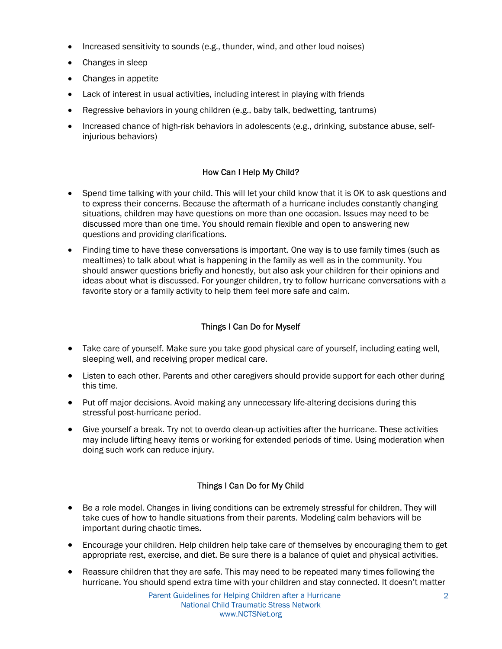- Increased sensitivity to sounds (e.g., thunder, wind, and other loud noises)
- Changes in sleep
- Changes in appetite
- Lack of interest in usual activities, including interest in playing with friends
- Regressive behaviors in young children (e.g., baby talk, bedwetting, tantrums)
- Increased chance of high-risk behaviors in adolescents (e.g., drinking, substance abuse, selfinjurious behaviors)

### How Can I Help My Child?

- Spend time talking with your child. This will let your child know that it is OK to ask questions and to express their concerns. Because the aftermath of a hurricane includes constantly changing situations, children may have questions on more than one occasion. Issues may need to be discussed more than one time. You should remain flexible and open to answering new questions and providing clarifications.
- Finding time to have these conversations is important. One way is to use family times (such as mealtimes) to talk about what is happening in the family as well as in the community. You should answer questions briefly and honestly, but also ask your children for their opinions and ideas about what is discussed. For younger children, try to follow hurricane conversations with a favorite story or a family activity to help them feel more safe and calm.

## Things I Can Do for Myself

- Take care of yourself. Make sure you take good physical care of yourself, including eating well, sleeping well, and receiving proper medical care.
- Listen to each other. Parents and other caregivers should provide support for each other during this time.
- Put off major decisions. Avoid making any unnecessary life-altering decisions during this stressful post-hurricane period.
- Give yourself a break. Try not to overdo clean-up activities after the hurricane. These activities may include lifting heavy items or working for extended periods of time. Using moderation when doing such work can reduce injury.

### Things I Can Do for My Child

- Be a role model. Changes in living conditions can be extremely stressful for children. They will take cues of how to handle situations from their parents. Modeling calm behaviors will be important during chaotic times.
- Encourage your children. Help children help take care of themselves by encouraging them to get appropriate rest, exercise, and diet. Be sure there is a balance of quiet and physical activities.
- Reassure children that they are safe. This may need to be repeated many times following the hurricane. You should spend extra time with your children and stay connected. It doesn't matter